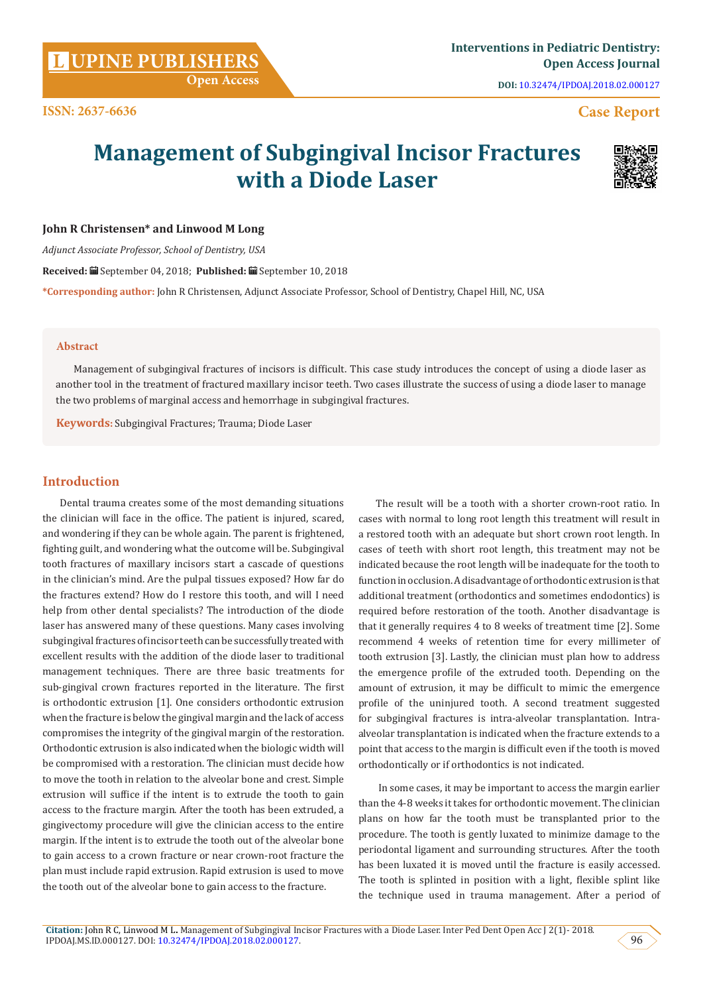**Citation:** John R C, Linwood M L**.** Management of Subgingival Incisor Fractures with a Diode Laser. Inter Ped Dent Open Acc J 2(1)- 2018.  $I_{\rm PDOAJ, MS, ID.000127.}$  DOI: [10.32474/IPDOAJ.2018.02.000127](http://dx.doi.org/10.32474/IPDOAJ.2018.02.000127).  $\leq 96$ 

**DOI:** [10.32474/IPDOAJ.2018.02.000127](http://dx.doi.org/10.32474/IPDOAJ.2018.02.000127)

# **Case Report**

# **Management of Subgingival Incisor Fractures with a Diode Laser**



*Adjunct Associate Professor, School of Dentistry, USA* 

**Received:** September 04, 2018; **Published:** September 10, 2018

**\*Corresponding author:** John R Christensen, Adjunct Associate Professor, School of Dentistry, Chapel Hill, NC, USA

#### **Abstract**

Management of subgingival fractures of incisors is difficult. This case study introduces the concept of using a diode laser as another tool in the treatment of fractured maxillary incisor teeth. Two cases illustrate the success of using a diode laser to manage the two problems of marginal access and hemorrhage in subgingival fractures.

**Keywords:** Subgingival Fractures; Trauma; Diode Laser

# **Introduction**

Dental trauma creates some of the most demanding situations the clinician will face in the office. The patient is injured, scared, and wondering if they can be whole again. The parent is frightened, fighting guilt, and wondering what the outcome will be. Subgingival tooth fractures of maxillary incisors start a cascade of questions in the clinician's mind. Are the pulpal tissues exposed? How far do the fractures extend? How do I restore this tooth, and will I need help from other dental specialists? The introduction of the diode laser has answered many of these questions. Many cases involving subgingival fractures of incisor teeth can be successfully treated with excellent results with the addition of the diode laser to traditional management techniques. There are three basic treatments for sub-gingival crown fractures reported in the literature. The first is orthodontic extrusion [1]. One considers orthodontic extrusion when the fracture is below the gingival margin and the lack of access compromises the integrity of the gingival margin of the restoration. Orthodontic extrusion is also indicated when the biologic width will be compromised with a restoration. The clinician must decide how to move the tooth in relation to the alveolar bone and crest. Simple extrusion will suffice if the intent is to extrude the tooth to gain access to the fracture margin. After the tooth has been extruded, a gingivectomy procedure will give the clinician access to the entire margin. If the intent is to extrude the tooth out of the alveolar bone to gain access to a crown fracture or near crown-root fracture the plan must include rapid extrusion. Rapid extrusion is used to move the tooth out of the alveolar bone to gain access to the fracture.

The result will be a tooth with a shorter crown-root ratio. In cases with normal to long root length this treatment will result in a restored tooth with an adequate but short crown root length. In cases of teeth with short root length, this treatment may not be indicated because the root length will be inadequate for the tooth to function in occlusion. A disadvantage of orthodontic extrusion is that additional treatment (orthodontics and sometimes endodontics) is required before restoration of the tooth. Another disadvantage is that it generally requires 4 to 8 weeks of treatment time [2]. Some recommend 4 weeks of retention time for every millimeter of tooth extrusion [3]. Lastly, the clinician must plan how to address the emergence profile of the extruded tooth. Depending on the amount of extrusion, it may be difficult to mimic the emergence profile of the uninjured tooth. A second treatment suggested for subgingival fractures is intra-alveolar transplantation. Intraalveolar transplantation is indicated when the fracture extends to a point that access to the margin is difficult even if the tooth is moved orthodontically or if orthodontics is not indicated.

 In some cases, it may be important to access the margin earlier than the 4-8 weeks it takes for orthodontic movement. The clinician plans on how far the tooth must be transplanted prior to the procedure. The tooth is gently luxated to minimize damage to the periodontal ligament and surrounding structures. After the tooth has been luxated it is moved until the fracture is easily accessed. The tooth is splinted in position with a light, flexible splint like the technique used in trauma management. After a period of

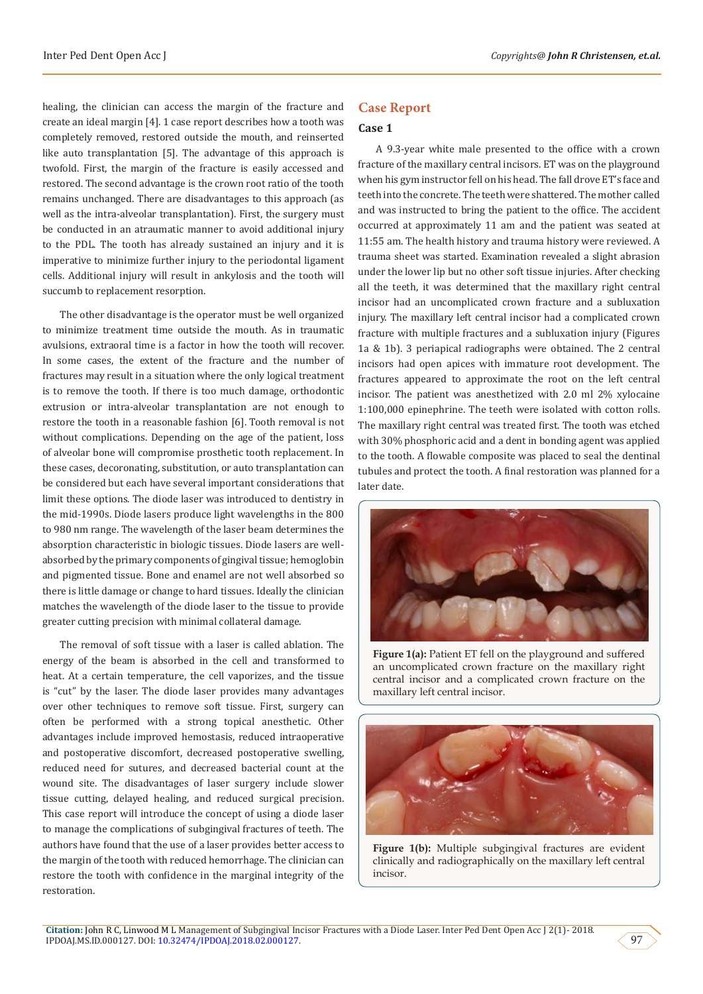healing, the clinician can access the margin of the fracture and create an ideal margin [4]. 1 case report describes how a tooth was completely removed, restored outside the mouth, and reinserted like auto transplantation [5]. The advantage of this approach is twofold. First, the margin of the fracture is easily accessed and restored. The second advantage is the crown root ratio of the tooth remains unchanged. There are disadvantages to this approach (as well as the intra-alveolar transplantation). First, the surgery must be conducted in an atraumatic manner to avoid additional injury to the PDL. The tooth has already sustained an injury and it is imperative to minimize further injury to the periodontal ligament cells. Additional injury will result in ankylosis and the tooth will succumb to replacement resorption.

The other disadvantage is the operator must be well organized to minimize treatment time outside the mouth. As in traumatic avulsions, extraoral time is a factor in how the tooth will recover. In some cases, the extent of the fracture and the number of fractures may result in a situation where the only logical treatment is to remove the tooth. If there is too much damage, orthodontic extrusion or intra-alveolar transplantation are not enough to restore the tooth in a reasonable fashion [6]. Tooth removal is not without complications. Depending on the age of the patient, loss of alveolar bone will compromise prosthetic tooth replacement. In these cases, decoronating, substitution, or auto transplantation can be considered but each have several important considerations that limit these options. The diode laser was introduced to dentistry in the mid-1990s. Diode lasers produce light wavelengths in the 800 to 980 nm range. The wavelength of the laser beam determines the absorption characteristic in biologic tissues. Diode lasers are wellabsorbed by the primary components of gingival tissue; hemoglobin and pigmented tissue. Bone and enamel are not well absorbed so there is little damage or change to hard tissues. Ideally the clinician matches the wavelength of the diode laser to the tissue to provide greater cutting precision with minimal collateral damage.

The removal of soft tissue with a laser is called ablation. The energy of the beam is absorbed in the cell and transformed to heat. At a certain temperature, the cell vaporizes, and the tissue is "cut" by the laser. The diode laser provides many advantages over other techniques to remove soft tissue. First, surgery can often be performed with a strong topical anesthetic. Other advantages include improved hemostasis, reduced intraoperative and postoperative discomfort, decreased postoperative swelling, reduced need for sutures, and decreased bacterial count at the wound site. The disadvantages of laser surgery include slower tissue cutting, delayed healing, and reduced surgical precision. This case report will introduce the concept of using a diode laser to manage the complications of subgingival fractures of teeth. The authors have found that the use of a laser provides better access to the margin of the tooth with reduced hemorrhage. The clinician can restore the tooth with confidence in the marginal integrity of the restoration.

# **Case Report**

#### **Case 1**

A 9.3-year white male presented to the office with a crown fracture of the maxillary central incisors. ET was on the playground when his gym instructor fell on his head. The fall drove ET's face and teeth into the concrete. The teeth were shattered. The mother called and was instructed to bring the patient to the office. The accident occurred at approximately 11 am and the patient was seated at 11:55 am. The health history and trauma history were reviewed. A trauma sheet was started. Examination revealed a slight abrasion under the lower lip but no other soft tissue injuries. After checking all the teeth, it was determined that the maxillary right central incisor had an uncomplicated crown fracture and a subluxation injury. The maxillary left central incisor had a complicated crown fracture with multiple fractures and a subluxation injury (Figures 1a & 1b). 3 periapical radiographs were obtained. The 2 central incisors had open apices with immature root development. The fractures appeared to approximate the root on the left central incisor. The patient was anesthetized with 2.0 ml 2% xylocaine 1:100,000 epinephrine. The teeth were isolated with cotton rolls. The maxillary right central was treated first. The tooth was etched with 30% phosphoric acid and a dent in bonding agent was applied to the tooth. A flowable composite was placed to seal the dentinal tubules and protect the tooth. A final restoration was planned for a later date.



Figure 1(a): Patient ET fell on the playground and suffered an uncomplicated crown fracture on the maxillary right central incisor and a complicated crown fracture on the maxillary left central incisor.



**Figure 1(b):** Multiple subgingival fractures are evident clinically and radiographically on the maxillary left central incisor.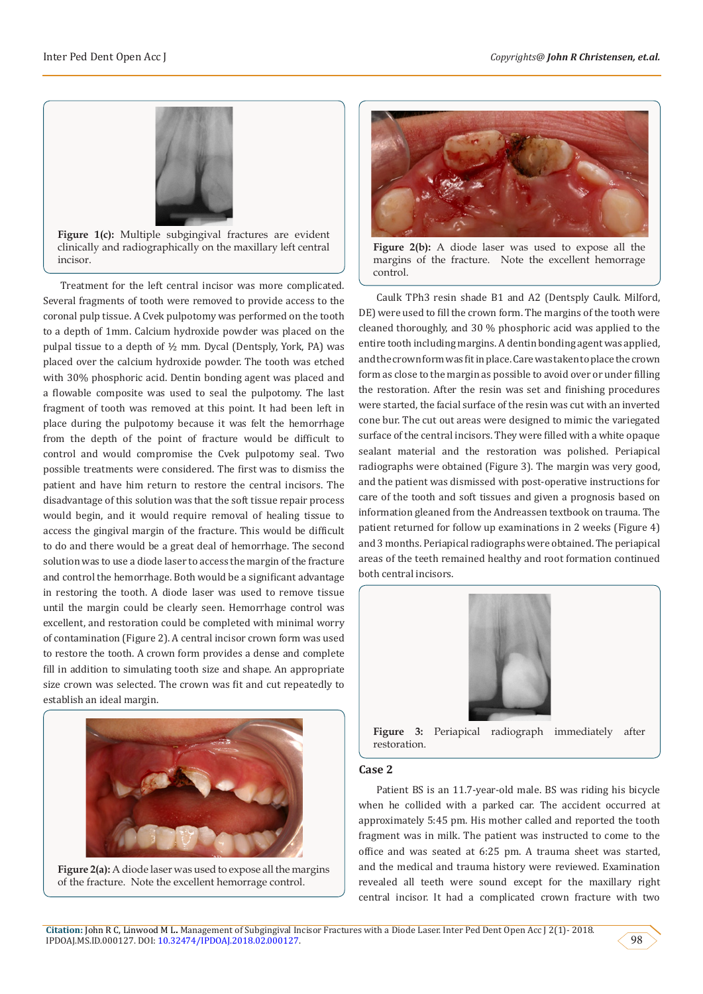

**Figure 1(c):** Multiple subgingival fractures are evident clinically and radiographically on the maxillary left central incisor.

Treatment for the left central incisor was more complicated. Several fragments of tooth were removed to provide access to the coronal pulp tissue. A Cvek pulpotomy was performed on the tooth to a depth of 1mm. Calcium hydroxide powder was placed on the pulpal tissue to a depth of ½ mm. Dycal (Dentsply, York, PA) was placed over the calcium hydroxide powder. The tooth was etched with 30% phosphoric acid. Dentin bonding agent was placed and a flowable composite was used to seal the pulpotomy. The last fragment of tooth was removed at this point. It had been left in place during the pulpotomy because it was felt the hemorrhage from the depth of the point of fracture would be difficult to control and would compromise the Cvek pulpotomy seal. Two possible treatments were considered. The first was to dismiss the patient and have him return to restore the central incisors. The disadvantage of this solution was that the soft tissue repair process would begin, and it would require removal of healing tissue to access the gingival margin of the fracture. This would be difficult to do and there would be a great deal of hemorrhage. The second solution was to use a diode laser to access the margin of the fracture and control the hemorrhage. Both would be a significant advantage in restoring the tooth. A diode laser was used to remove tissue until the margin could be clearly seen. Hemorrhage control was excellent, and restoration could be completed with minimal worry of contamination (Figure 2). A central incisor crown form was used to restore the tooth. A crown form provides a dense and complete fill in addition to simulating tooth size and shape. An appropriate size crown was selected. The crown was fit and cut repeatedly to establish an ideal margin.



**Figure 2(a):** A diode laser was used to expose all the margins of the fracture. Note the excellent hemorrage control.



**Figure 2(b):** A diode laser was used to expose all the margins of the fracture. Note the excellent hemorrage control.

Caulk TPh3 resin shade B1 and A2 (Dentsply Caulk. Milford, DE) were used to fill the crown form. The margins of the tooth were cleaned thoroughly, and 30 % phosphoric acid was applied to the entire tooth including margins. A dentin bonding agent was applied, and the crown form was fit in place. Care was taken to place the crown form as close to the margin as possible to avoid over or under filling the restoration. After the resin was set and finishing procedures were started, the facial surface of the resin was cut with an inverted cone bur. The cut out areas were designed to mimic the variegated surface of the central incisors. They were filled with a white opaque sealant material and the restoration was polished. Periapical radiographs were obtained (Figure 3). The margin was very good, and the patient was dismissed with post-operative instructions for care of the tooth and soft tissues and given a prognosis based on information gleaned from the Andreassen textbook on trauma. The patient returned for follow up examinations in 2 weeks (Figure 4) and 3 months. Periapical radiographs were obtained. The periapical areas of the teeth remained healthy and root formation continued both central incisors.



**Figure 3:** Periapical radiograph immediately after restoration.

# **Case 2**

Patient BS is an 11.7-year-old male. BS was riding his bicycle when he collided with a parked car. The accident occurred at approximately 5:45 pm. His mother called and reported the tooth fragment was in milk. The patient was instructed to come to the office and was seated at 6:25 pm. A trauma sheet was started, and the medical and trauma history were reviewed. Examination revealed all teeth were sound except for the maxillary right central incisor. It had a complicated crown fracture with two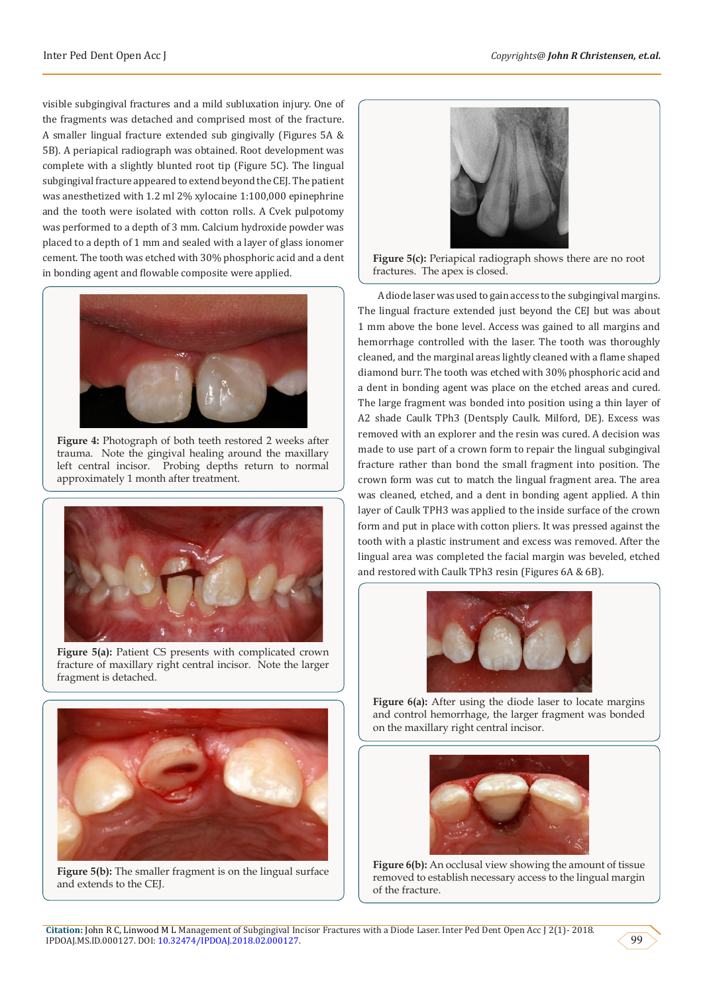visible subgingival fractures and a mild subluxation injury. One of the fragments was detached and comprised most of the fracture. A smaller lingual fracture extended sub gingivally (Figures 5A & 5B). A periapical radiograph was obtained. Root development was complete with a slightly blunted root tip (Figure 5C). The lingual subgingival fracture appeared to extend beyond the CEJ. The patient was anesthetized with 1.2 ml 2% xylocaine 1:100,000 epinephrine and the tooth were isolated with cotton rolls. A Cvek pulpotomy was performed to a depth of 3 mm. Calcium hydroxide powder was placed to a depth of 1 mm and sealed with a layer of glass ionomer cement. The tooth was etched with 30% phosphoric acid and a dent in bonding agent and flowable composite were applied.



**Figure 4:** Photograph of both teeth restored 2 weeks after trauma. Note the gingival healing around the maxillary left central incisor. Probing depths return to normal approximately 1 month after treatment.



Figure 5(a): Patient CS presents with complicated crown fracture of maxillary right central incisor. Note the larger fragment is detached.



**Figure 5(b):** The smaller fragment is on the lingual surface and extends to the CEJ.



**Figure 5(c):** Periapical radiograph shows there are no root fractures. The apex is closed.

 A diode laser was used to gain access to the subgingival margins. The lingual fracture extended just beyond the CEJ but was about 1 mm above the bone level. Access was gained to all margins and hemorrhage controlled with the laser. The tooth was thoroughly cleaned, and the marginal areas lightly cleaned with a flame shaped diamond burr. The tooth was etched with 30% phosphoric acid and a dent in bonding agent was place on the etched areas and cured. The large fragment was bonded into position using a thin layer of A2 shade Caulk TPh3 (Dentsply Caulk. Milford, DE). Excess was removed with an explorer and the resin was cured. A decision was made to use part of a crown form to repair the lingual subgingival fracture rather than bond the small fragment into position. The crown form was cut to match the lingual fragment area. The area was cleaned, etched, and a dent in bonding agent applied. A thin layer of Caulk TPH3 was applied to the inside surface of the crown form and put in place with cotton pliers. It was pressed against the tooth with a plastic instrument and excess was removed. After the lingual area was completed the facial margin was beveled, etched and restored with Caulk TPh3 resin (Figures 6A & 6B).



Figure 6(a): After using the diode laser to locate margins and control hemorrhage, the larger fragment was bonded on the maxillary right central incisor.



**Figure 6(b):** An occlusal view showing the amount of tissue removed to establish necessary access to the lingual margin of the fracture.